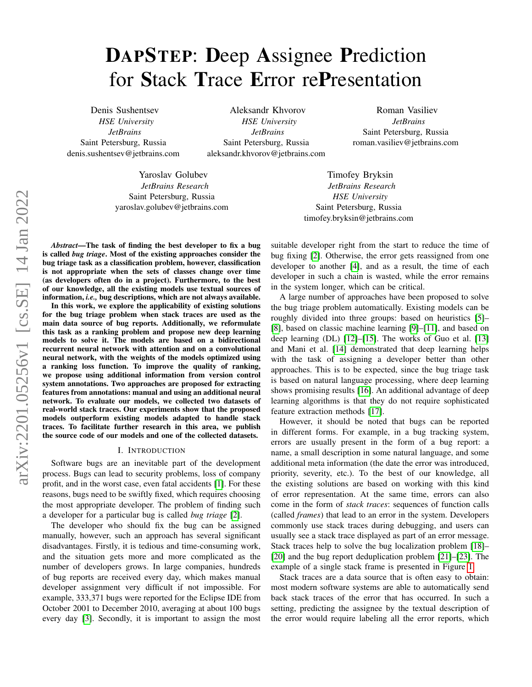# DAPSTEP: Deep Assignee Prediction for Stack Trace Error rePresentation

Denis Sushentsev *HSE University JetBrains* Saint Petersburg, Russia denis.sushentsev@jetbrains.com

Aleksandr Khvorov *HSE University JetBrains* Saint Petersburg, Russia aleksandr.khvorov@jetbrains.com

Yaroslav Golubev *JetBrains Research* Saint Petersburg, Russia yaroslav.golubev@jetbrains.com

Roman Vasiliev *JetBrains* Saint Petersburg, Russia roman.vasiliev@jetbrains.com

Timofey Bryksin *JetBrains Research HSE University* Saint Petersburg, Russia timofey.bryksin@jetbrains.com

*Abstract*—The task of finding the best developer to fix a bug is called *bug triage*. Most of the existing approaches consider the bug triage task as a classification problem, however, classification is not appropriate when the sets of classes change over time (as developers often do in a project). Furthermore, to the best of our knowledge, all the existing models use textual sources of information, *i.e.,* bug descriptions, which are not always available.

In this work, we explore the applicability of existing solutions for the bug triage problem when stack traces are used as the main data source of bug reports. Additionally, we reformulate this task as a ranking problem and propose new deep learning models to solve it. The models are based on a bidirectional recurrent neural network with attention and on a convolutional neural network, with the weights of the models optimized using a ranking loss function. To improve the quality of ranking, we propose using additional information from version control system annotations. Two approaches are proposed for extracting features from annotations: manual and using an additional neural network. To evaluate our models, we collected two datasets of real-world stack traces. Our experiments show that the proposed models outperform existing models adapted to handle stack traces. To facilitate further research in this area, we publish the source code of our models and one of the collected datasets.

#### I. INTRODUCTION

Software bugs are an inevitable part of the development process. Bugs can lead to security problems, loss of company profit, and in the worst case, even fatal accidents [\[1\]](#page-10-0). For these reasons, bugs need to be swiftly fixed, which requires choosing the most appropriate developer. The problem of finding such a developer for a particular bug is called *bug triage* [\[2\]](#page-10-1).

The developer who should fix the bug can be assigned manually, however, such an approach has several significant disadvantages. Firstly, it is tedious and time-consuming work, and the situation gets more and more complicated as the number of developers grows. In large companies, hundreds of bug reports are received every day, which makes manual developer assignment very difficult if not impossible. For example, 333,371 bugs were reported for the Eclipse IDE from October 2001 to December 2010, averaging at about 100 bugs every day [\[3\]](#page-10-2). Secondly, it is important to assign the most suitable developer right from the start to reduce the time of bug fixing [\[2\]](#page-10-1). Otherwise, the error gets reassigned from one developer to another [\[4\]](#page-10-3), and as a result, the time of each developer in such a chain is wasted, while the error remains in the system longer, which can be critical.

A large number of approaches have been proposed to solve the bug triage problem automatically. Existing models can be roughly divided into three groups: based on heuristics [\[5\]](#page-10-4)– [\[8\]](#page-10-5), based on classic machine learning [\[9\]](#page-10-6)–[\[11\]](#page-10-7), and based on deep learning (DL) [\[12\]](#page-10-8)–[\[15\]](#page-10-9). The works of Guo et al. [\[13\]](#page-10-10) and Mani et al. [\[14\]](#page-10-11) demonstrated that deep learning helps with the task of assigning a developer better than other approaches. This is to be expected, since the bug triage task is based on natural language processing, where deep learning shows promising results [\[16\]](#page-10-12). An additional advantage of deep learning algorithms is that they do not require sophisticated feature extraction methods [\[17\]](#page-10-13).

However, it should be noted that bugs can be reported in different forms. For example, in a bug tracking system, errors are usually present in the form of a bug report: a name, a small description in some natural language, and some additional meta information (the date the error was introduced, priority, severity, etc.). To the best of our knowledge, all the existing solutions are based on working with this kind of error representation. At the same time, errors can also come in the form of *stack traces*: sequences of function calls (called *frames*) that lead to an error in the system. Developers commonly use stack traces during debugging, and users can usually see a stack trace displayed as part of an error message. Stack traces help to solve the bug localization problem [\[18\]](#page-10-14)– [\[20\]](#page-10-15) and the bug report deduplication problem [\[21\]](#page-10-16)–[\[23\]](#page-10-17). The example of a single stack frame is presented in Figure [1.](#page-1-0)

Stack traces are a data source that is often easy to obtain: most modern software systems are able to automatically send back stack traces of the error that has occurred. In such a setting, predicting the assignee by the textual description of the error would require labeling all the error reports, which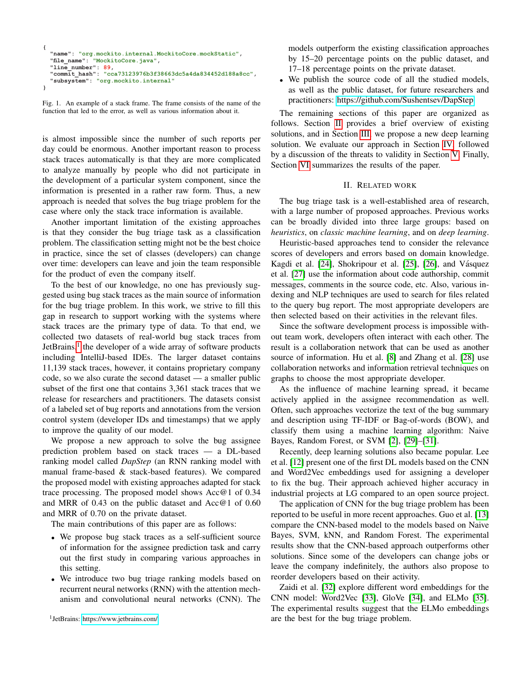```
{
   "name": "org.mockito.internal.MockitoCore.mockStatic",
 "file_name": "MockitoCore.java",
 "line_number": 89, 
   "commit_hash": "cca73123976b3f38663dc5a4da834452d188a8cc",
   "subsystem": "org.mockito.internal"
}
```
<span id="page-1-0"></span>Fig. 1. An example of a stack frame. The frame consists of the name of the function that led to the error, as well as various information about it.

is almost impossible since the number of such reports per day could be enormous. Another important reason to process stack traces automatically is that they are more complicated to analyze manually by people who did not participate in the development of a particular system component, since the information is presented in a rather raw form. Thus, a new approach is needed that solves the bug triage problem for the case where only the stack trace information is available.

Another important limitation of the existing approaches is that they consider the bug triage task as a classification problem. The classification setting might not be the best choice in practice, since the set of classes (developers) can change over time: developers can leave and join the team responsible for the product of even the company itself.

To the best of our knowledge, no one has previously suggested using bug stack traces as the main source of information for the bug triage problem. In this work, we strive to fill this gap in research to support working with the systems where stack traces are the primary type of data. To that end, we collected two datasets of real-world bug stack traces from JetBrains,<sup>[1](#page-1-1)</sup> the developer of a wide array of software products including IntelliJ-based IDEs. The larger dataset contains 11,139 stack traces, however, it contains proprietary company code, so we also curate the second dataset — a smaller public subset of the first one that contains 3,361 stack traces that we release for researchers and practitioners. The datasets consist of a labeled set of bug reports and annotations from the version control system (developer IDs and timestamps) that we apply to improve the quality of our model.

We propose a new approach to solve the bug assignee prediction problem based on stack traces — a DL-based ranking model called *DapStep* (an RNN ranking model with manual frame-based & stack-based features). We compared the proposed model with existing approaches adapted for stack trace processing. The proposed model shows Acc@1 of 0.34 and MRR of 0.43 on the public dataset and Acc@1 of 0.60 and MRR of 0.70 on the private dataset.

The main contributions of this paper are as follows:

- We propose bug stack traces as a self-sufficient source of information for the assignee prediction task and carry out the first study in comparing various approaches in this setting.
- We introduce two bug triage ranking models based on recurrent neural networks (RNN) with the attention mechanism and convolutional neural networks (CNN). The

<span id="page-1-1"></span>1 JetBrains:<https://www.jetbrains.com/>

models outperform the existing classification approaches by 15–20 percentage points on the public dataset, and 17–18 percentage points on the private dataset.

• We publish the source code of all the studied models, as well as the public dataset, for future researchers and practitioners: [https://github.com/Sushentsev/DapStep.](https://github.com/Sushentsev/DapStep)

The remaining sections of this paper are organized as follows. Section [II](#page-1-2) provides a brief overview of existing solutions, and in Section [III,](#page-2-0) we propose a new deep learning solution. We evaluate our approach in Section [IV,](#page-5-0) followed by a discussion of the threats to validity in Section [V.](#page-9-0) Finally, Section [VI](#page-9-1) summarizes the results of the paper.

## II. RELATED WORK

<span id="page-1-2"></span>The bug triage task is a well-established area of research, with a large number of proposed approaches. Previous works can be broadly divided into three large groups: based on *heuristics*, on *classic machine learning*, and on *deep learning*.

Heuristic-based approaches tend to consider the relevance scores of developers and errors based on domain knowledge. Kagdi et al. [\[24\]](#page-10-18), Shokripour et al. [\[25\]](#page-10-19), [\[26\]](#page-10-20), and Vásquez et al. [\[27\]](#page-10-21) use the information about code authorship, commit messages, comments in the source code, etc. Also, various indexing and NLP techniques are used to search for files related to the query bug report. The most appropriate developers are then selected based on their activities in the relevant files.

Since the software development process is impossible without team work, developers often interact with each other. The result is a collaboration network that can be used as another source of information. Hu et al. [\[8\]](#page-10-5) and Zhang et al. [\[28\]](#page-10-22) use collaboration networks and information retrieval techniques on graphs to choose the most appropriate developer.

As the influence of machine learning spread, it became actively applied in the assignee recommendation as well. Often, such approaches vectorize the text of the bug summary and description using TF-IDF or Bag-of-words (BOW), and classify them using a machine learning algorithm: Naive Bayes, Random Forest, or SVM [\[2\]](#page-10-1), [\[29\]](#page-10-23)–[\[31\]](#page-10-24).

Recently, deep learning solutions also became popular. Lee et al. [\[12\]](#page-10-8) present one of the first DL models based on the CNN and Word2Vec embeddings used for assigning a developer to fix the bug. Their approach achieved higher accuracy in industrial projects at LG compared to an open source project.

The application of CNN for the bug triage problem has been reported to be useful in more recent approaches. Guo et al. [\[13\]](#page-10-10) compare the CNN-based model to the models based on Naive Bayes, SVM, kNN, and Random Forest. The experimental results show that the CNN-based approach outperforms other solutions. Since some of the developers can change jobs or leave the company indefinitely, the authors also propose to reorder developers based on their activity.

Zaidi et al. [\[32\]](#page-10-25) explore different word embeddings for the CNN model: Word2Vec [\[33\]](#page-10-26), GloVe [\[34\]](#page-10-27), and ELMo [\[35\]](#page-10-28). The experimental results suggest that the ELMo embeddings are the best for the bug triage problem.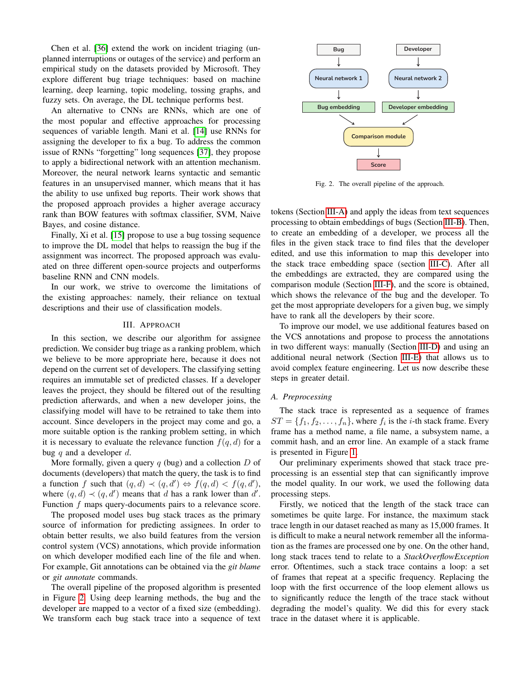Chen et al. [\[36\]](#page-10-29) extend the work on incident triaging (unplanned interruptions or outages of the service) and perform an empirical study on the datasets provided by Microsoft. They explore different bug triage techniques: based on machine learning, deep learning, topic modeling, tossing graphs, and fuzzy sets. On average, the DL technique performs best.

An alternative to CNNs are RNNs, which are one of the most popular and effective approaches for processing sequences of variable length. Mani et al. [\[14\]](#page-10-11) use RNNs for assigning the developer to fix a bug. To address the common issue of RNNs "forgetting" long sequences [\[37\]](#page-10-30), they propose to apply a bidirectional network with an attention mechanism. Moreover, the neural network learns syntactic and semantic features in an unsupervised manner, which means that it has the ability to use unfixed bug reports. Their work shows that the proposed approach provides a higher average accuracy rank than BOW features with softmax classifier, SVM, Naive Bayes, and cosine distance.

Finally, Xi et al. [\[15\]](#page-10-9) propose to use a bug tossing sequence to improve the DL model that helps to reassign the bug if the assignment was incorrect. The proposed approach was evaluated on three different open-source projects and outperforms baseline RNN and CNN models.

In our work, we strive to overcome the limitations of the existing approaches: namely, their reliance on textual descriptions and their use of classification models.

## III. APPROACH

<span id="page-2-0"></span>In this section, we describe our algorithm for assignee prediction. We consider bug triage as a ranking problem, which we believe to be more appropriate here, because it does not depend on the current set of developers. The classifying setting requires an immutable set of predicted classes. If a developer leaves the project, they should be filtered out of the resulting prediction afterwards, and when a new developer joins, the classifying model will have to be retrained to take them into account. Since developers in the project may come and go, a more suitable option is the ranking problem setting, in which it is necessary to evaluate the relevance function  $f(q, d)$  for a bug  $q$  and a developer  $d$ .

More formally, given a query  $q$  (bug) and a collection  $D$  of documents (developers) that match the query, the task is to find a function f such that  $(q, d) \prec (q, d') \Leftrightarrow f(q, d) < f(q, d'),$ where  $(q, d) \prec (q, d')$  means that d has a rank lower than d'. Function  $f$  maps query-documents pairs to a relevance score.

The proposed model uses bug stack traces as the primary source of information for predicting assignees. In order to obtain better results, we also build features from the version control system (VCS) annotations, which provide information on which developer modified each line of the file and when. For example, Git annotations can be obtained via the *git blame* or *git annotate* commands.

The overall pipeline of the proposed algorithm is presented in Figure [2.](#page-2-1) Using deep learning methods, the bug and the developer are mapped to a vector of a fixed size (embedding). We transform each bug stack trace into a sequence of text



<span id="page-2-1"></span>Fig. 2. The overall pipeline of the approach.

tokens (Section [III-A\)](#page-2-2) and apply the ideas from text sequences processing to obtain embeddings of bugs (Section [III-B\)](#page-3-0). Then, to create an embedding of a developer, we process all the files in the given stack trace to find files that the developer edited, and use this information to map this developer into the stack trace embedding space (section [III-C\)](#page-3-1). After all the embeddings are extracted, they are compared using the comparison module (Section [III-F\)](#page-5-1), and the score is obtained, which shows the relevance of the bug and the developer. To get the most appropriate developers for a given bug, we simply have to rank all the developers by their score.

To improve our model, we use additional features based on the VCS annotations and propose to process the annotations in two different ways: manually (Section [III-D\)](#page-4-0) and using an additional neural network (Section [III-E\)](#page-4-1) that allows us to avoid complex feature engineering. Let us now describe these steps in greater detail.

# <span id="page-2-2"></span>*A. Preprocessing*

The stack trace is represented as a sequence of frames  $ST = \{f_1, f_2, \ldots, f_n\}$ , where  $f_i$  is the *i*-th stack frame. Every frame has a method name, a file name, a subsystem name, a commit hash, and an error line. An example of a stack frame is presented in Figure [1.](#page-1-0)

Our preliminary experiments showed that stack trace preprocessing is an essential step that can significantly improve the model quality. In our work, we used the following data processing steps.

Firstly, we noticed that the length of the stack trace can sometimes be quite large. For instance, the maximum stack trace length in our dataset reached as many as 15,000 frames. It is difficult to make a neural network remember all the information as the frames are processed one by one. On the other hand, long stack traces tend to relate to a *StackOverflowException* error. Oftentimes, such a stack trace contains a loop: a set of frames that repeat at a specific frequency. Replacing the loop with the first occurrence of the loop element allows us to significantly reduce the length of the trace stack without degrading the model's quality. We did this for every stack trace in the dataset where it is applicable.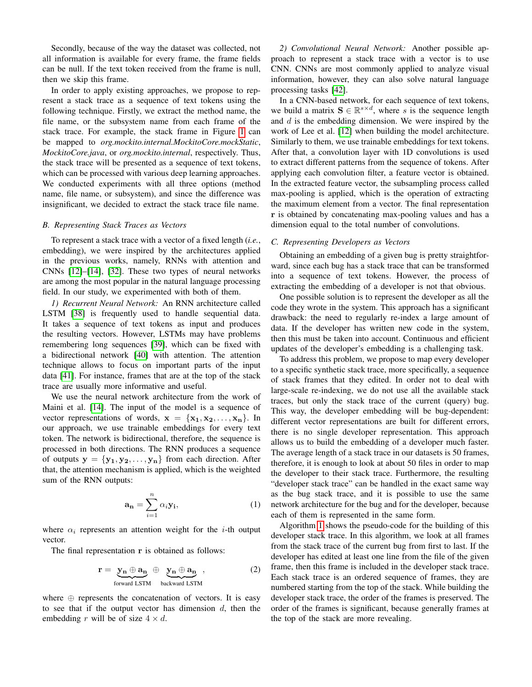Secondly, because of the way the dataset was collected, not all information is available for every frame, the frame fields can be null. If the text token received from the frame is null, then we skip this frame.

In order to apply existing approaches, we propose to represent a stack trace as a sequence of text tokens using the following technique. Firstly, we extract the method name, the file name, or the subsystem name from each frame of the stack trace. For example, the stack frame in Figure [1](#page-1-0) can be mapped to *org.mockito.internal.MockitoCore.mockStatic*, *MockitoCore.java*, or *org.mockito.internal*, respectively. Thus, the stack trace will be presented as a sequence of text tokens, which can be processed with various deep learning approaches. We conducted experiments with all three options (method name, file name, or subsystem), and since the difference was insignificant, we decided to extract the stack trace file name.

# <span id="page-3-0"></span>*B. Representing Stack Traces as Vectors*

To represent a stack trace with a vector of a fixed length (*i.e.*, embedding), we were inspired by the architectures applied in the previous works, namely, RNNs with attention and CNNs [\[12\]](#page-10-8)–[\[14\]](#page-10-11), [\[32\]](#page-10-25). These two types of neural networks are among the most popular in the natural language processing field. In our study, we experimented with both of them.

*1) Recurrent Neural Network:* An RNN architecture called LSTM [\[38\]](#page-10-31) is frequently used to handle sequential data. It takes a sequence of text tokens as input and produces the resulting vectors. However, LSTMs may have problems remembering long sequences [\[39\]](#page-10-32), which can be fixed with a bidirectional network [\[40\]](#page-10-33) with attention. The attention technique allows to focus on important parts of the input data [\[41\]](#page-10-34). For instance, frames that are at the top of the stack trace are usually more informative and useful.

We use the neural network architecture from the work of Maini et al. [\[14\]](#page-10-11). The input of the model is a sequence of vector representations of words,  $x = \{x_1, x_2, \ldots, x_n\}$ . In our approach, we use trainable embeddings for every text token. The network is bidirectional, therefore, the sequence is processed in both directions. The RNN produces a sequence of outputs  $y = {y_1, y_2, \ldots, y_n}$  from each direction. After that, the attention mechanism is applied, which is the weighted sum of the RNN outputs:

$$
\mathbf{a_n} = \sum_{i=1}^n \alpha_i \mathbf{y_i},\tag{1}
$$

where  $\alpha_i$  represents an attention weight for the *i*-th output vector.

The final representation r is obtained as follows:

$$
\mathbf{r} = \mathbf{y_n} \oplus \mathbf{a_n} \oplus \mathbf{y_n} \oplus \mathbf{a_n} \tag{2}
$$
  
forward LSTM backward LSTM

where  $\oplus$  represents the concatenation of vectors. It is easy to see that if the output vector has dimension  $d$ , then the embedding r will be of size  $4 \times d$ .

*2) Convolutional Neural Network:* Another possible approach to represent a stack trace with a vector is to use CNN. CNNs are most commonly applied to analyze visual information, however, they can also solve natural language processing tasks [\[42\]](#page-10-35).

In a CNN-based network, for each sequence of text tokens, we build a matrix  $S \in \mathbb{R}^{s \times d}$ , where s is the sequence length and d is the embedding dimension. We were inspired by the work of Lee et al. [\[12\]](#page-10-8) when building the model architecture. Similarly to them, we use trainable embeddings for text tokens. After that, a convolution layer with 1D convolutions is used to extract different patterns from the sequence of tokens. After applying each convolution filter, a feature vector is obtained. In the extracted feature vector, the subsampling process called max-pooling is applied, which is the operation of extracting the maximum element from a vector. The final representation r is obtained by concatenating max-pooling values and has a dimension equal to the total number of convolutions.

#### <span id="page-3-1"></span>*C. Representing Developers as Vectors*

Obtaining an embedding of a given bug is pretty straightforward, since each bug has a stack trace that can be transformed into a sequence of text tokens. However, the process of extracting the embedding of a developer is not that obvious.

One possible solution is to represent the developer as all the code they wrote in the system. This approach has a significant drawback: the need to regularly re-index a large amount of data. If the developer has written new code in the system, then this must be taken into account. Continuous and efficient updates of the developer's embedding is a challenging task.

To address this problem, we propose to map every developer to a specific synthetic stack trace, more specifically, a sequence of stack frames that they edited. In order not to deal with large-scale re-indexing, we do not use all the available stack traces, but only the stack trace of the current (query) bug. This way, the developer embedding will be bug-dependent: different vector representations are built for different errors, there is no single developer representation. This approach allows us to build the embedding of a developer much faster. The average length of a stack trace in our datasets is 50 frames, therefore, it is enough to look at about 50 files in order to map the developer to their stack trace. Furthermore, the resulting "developer stack trace" can be handled in the exact same way as the bug stack trace, and it is possible to use the same network architecture for the bug and for the developer, because each of them is represented in the same form.

Algorithm [1](#page-4-2) shows the pseudo-code for the building of this developer stack trace. In this algorithm, we look at all frames from the stack trace of the current bug from first to last. If the developer has edited at least one line from the file of the given frame, then this frame is included in the developer stack trace. Each stack trace is an ordered sequence of frames, they are numbered starting from the top of the stack. While building the developer stack trace, the order of the frames is preserved. The order of the frames is significant, because generally frames at the top of the stack are more revealing.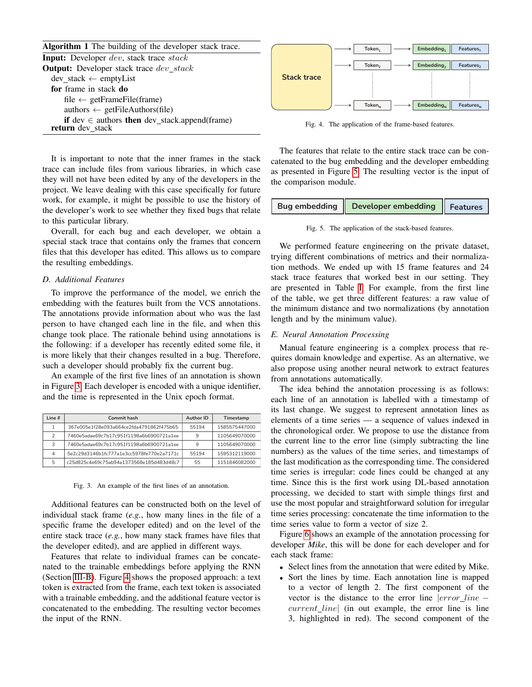Algorithm 1 The building of the developer stack trace.

<span id="page-4-2"></span>

| <b>Input:</b> Developer <i>dev</i> , stack trace <i>stack</i> |
|---------------------------------------------------------------|
| <b>Output:</b> Developer stack trace <i>dev_stack</i>         |
| $dev\_stack \leftarrow emptyList$                             |
| for frame in stack do                                         |
| file $\leftarrow$ getFrameFile(frame)                         |
| authors $\leftarrow$ getFileAuthors(file)                     |
| if dev $\in$ authors then dev_stack.append(frame)             |
| return dev_stack                                              |

It is important to note that the inner frames in the stack trace can include files from various libraries, in which case they will not have been edited by any of the developers in the project. We leave dealing with this case specifically for future work, for example, it might be possible to use the history of the developer's work to see whether they fixed bugs that relate to this particular library.

Overall, for each bug and each developer, we obtain a special stack trace that contains only the frames that concern files that this developer has edited. This allows us to compare the resulting embeddings.

#### <span id="page-4-0"></span>*D. Additional Features*

To improve the performance of the model, we enrich the embedding with the features built from the VCS annotations. The annotations provide information about who was the last person to have changed each line in the file, and when this change took place. The rationale behind using annotations is the following: if a developer has recently edited some file, it is more likely that their changes resulted in a bug. Therefore, such a developer should probably fix the current bug.

An example of the first five lines of an annotation is shown in Figure [3.](#page-4-3) Each developer is encoded with a unique identifier, and the time is represented in the Unix epoch format.

| line # | <b>Commit hash</b>                        | Author ID | Timestamp     |
|--------|-------------------------------------------|-----------|---------------|
|        | 367e005e1f28e093a664ce2fda4791862f475b65  | 55194     | 1585575447000 |
| っ      | 7460e5adae69c7b17c951f1198a6b6900721a1ee  | 9         | 1105649070000 |
| З      | 7460e5adae69c7b17c951f1198a6b6900721a1ee  | 9         | 1105649070000 |
| 4      | 5e2c29d3146b1fc777a1e3cc5978fe770e2a7171c |           | 1595312119000 |
| 5      | c25d825c4e69c75ab94a1373568e185d483d48c7  | 55        | 1151846082000 |

## <span id="page-4-3"></span>Fig. 3. An example of the first lines of an annotation.

Additional features can be constructed both on the level of individual stack frame (*e.g.*, how many lines in the file of a specific frame the developer edited) and on the level of the entire stack trace (*e.g.*, how many stack frames have files that the developer edited), and are applied in different ways.

Features that relate to individual frames can be concatenated to the trainable embeddings before applying the RNN (Section [III-B\)](#page-3-0). Figure [4](#page-4-4) shows the proposed approach: a text token is extracted from the frame, each text token is associated with a trainable embedding, and the additional feature vector is concatenated to the embedding. The resulting vector becomes the input of the RNN.



<span id="page-4-4"></span>Fig. 4. The application of the frame-based features.

The features that relate to the entire stack trace can be concatenated to the bug embedding and the developer embedding as presented in Figure [5.](#page-4-5) The resulting vector is the input of the comparison module.

| Bug embedding $\parallel$ Developer embedding $\parallel$ Features |  |  |
|--------------------------------------------------------------------|--|--|
|                                                                    |  |  |

<span id="page-4-5"></span>Fig. 5. The application of the stack-based features.

We performed feature engineering on the private dataset, trying different combinations of metrics and their normalization methods. We ended up with 15 frame features and 24 stack trace features that worked best in our setting. They are presented in Table [I.](#page-5-2) For example, from the first line of the table, we get three different features: a raw value of the minimum distance and two normalizations (by annotation length and by the minimum value).

## <span id="page-4-1"></span>*E. Neural Annotation Processing*

Manual feature engineering is a complex process that requires domain knowledge and expertise. As an alternative, we also propose using another neural network to extract features from annotations automatically.

The idea behind the annotation processing is as follows: each line of an annotation is labelled with a timestamp of its last change. We suggest to represent annotation lines as elements of a time series — a sequence of values indexed in the chronological order. We propose to use the distance from the current line to the error line (simply subtracting the line numbers) as the values of the time series, and timestamps of the last modification as the corresponding time. The considered time series is irregular: code lines could be changed at any time. Since this is the first work using DL-based annotation processing, we decided to start with simple things first and use the most popular and straightforward solution for irregular time series processing: concatenate the time information to the time series value to form a vector of size 2.

Figure [6](#page-5-3) shows an example of the annotation processing for developer *Mike*, this will be done for each developer and for each stack frame:

- Select lines from the annotation that were edited by Mike.
- Sort the lines by time. Each annotation line is mapped to a vector of length 2. The first component of the vector is the distance to the error line |error line −  $current\_line$  (in out example, the error line is line 3, highlighted in red). The second component of the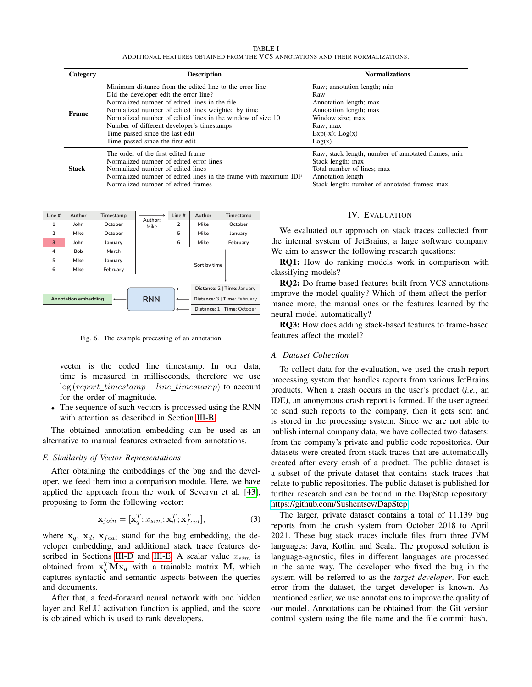TABLE I ADDITIONAL FEATURES OBTAINED FROM THE VCS ANNOTATIONS AND THEIR NORMALIZATIONS.

<span id="page-5-2"></span>

| Category     | <b>Description</b>                                                                                                                                                                                                                                                                                                                                                                          | <b>Normalizations</b>                                                                                                                                                       |
|--------------|---------------------------------------------------------------------------------------------------------------------------------------------------------------------------------------------------------------------------------------------------------------------------------------------------------------------------------------------------------------------------------------------|-----------------------------------------------------------------------------------------------------------------------------------------------------------------------------|
| Frame        | Minimum distance from the edited line to the error line<br>Did the developer edit the error line?<br>Normalized number of edited lines in the file<br>Normalized number of edited lines weighted by time<br>Normalized number of edited lines in the window of size 10<br>Number of different developer's timestamps<br>Time passed since the last edit<br>Time passed since the first edit | Raw; annotation length; min<br>Raw<br>Annotation length; max<br>Annotation length; max<br>Window size; max<br>Raw; max<br>$Exp(-x)$ ; $Log(x)$<br>Log(x)                    |
| <b>Stack</b> | The order of the first edited frame<br>Normalized number of edited error lines<br>Normalized number of edited lines<br>Normalized number of edited lines in the frame with maximum IDF<br>Normalized number of edited frames                                                                                                                                                                | Raw; stack length; number of annotated frames; min<br>Stack length; max<br>Total number of lines; max<br>Annotation length<br>Stack length; number of annotated frames; max |



<span id="page-5-3"></span>Fig. 6. The example processing of an annotation.

vector is the coded line timestamp. In our data, time is measured in milliseconds, therefore we use  $log(report_time stamp - line_time stamp)$  to account for the order of magnitude.

• The sequence of such vectors is processed using the RNN with attention as described in Section [III-B.](#page-3-0)

The obtained annotation embedding can be used as an alternative to manual features extracted from annotations.

# <span id="page-5-1"></span>*F. Similarity of Vector Representations*

After obtaining the embeddings of the bug and the developer, we feed them into a comparison module. Here, we have applied the approach from the work of Severyn et al. [\[43\]](#page-10-36), proposing to form the following vector:

$$
\mathbf{x}_{join} = [\mathbf{x}_q^T; x_{sim}; \mathbf{x}_d^T; \mathbf{x}_{feat}^T],\tag{3}
$$

where  $x_q$ ,  $x_d$ ,  $x_{feat}$  stand for the bug embedding, the developer embedding, and additional stack trace features de-scribed in Sections [III-D](#page-4-0) and [III-E.](#page-4-1) A scalar value  $x_{sim}$  is obtained from  $x_q^T M x_d$  with a trainable matrix M, which captures syntactic and semantic aspects between the queries and documents.

After that, a feed-forward neural network with one hidden layer and ReLU activation function is applied, and the score is obtained which is used to rank developers.

## IV. EVALUATION

<span id="page-5-0"></span>We evaluated our approach on stack traces collected from the internal system of JetBrains, a large software company. We aim to answer the following research questions:

RQ1: How do ranking models work in comparison with classifying models?

RQ2: Do frame-based features built from VCS annotations improve the model quality? Which of them affect the performance more, the manual ones or the features learned by the neural model automatically?

RQ3: How does adding stack-based features to frame-based features affect the model?

# *A. Dataset Collection*

To collect data for the evaluation, we used the crash report processing system that handles reports from various JetBrains products. When a crash occurs in the user's product (*i.e.*, an IDE), an anonymous crash report is formed. If the user agreed to send such reports to the company, then it gets sent and is stored in the processing system. Since we are not able to publish internal company data, we have collected two datasets: from the company's private and public code repositories. Our datasets were created from stack traces that are automatically created after every crash of a product. The public dataset is a subset of the private dataset that contains stack traces that relate to public repositories. The public dataset is published for further research and can be found in the DapStep repository: [https://github.com/Sushentsev/DapStep.](https://github.com/Sushentsev/DapStep)

The larger, private dataset contains a total of 11,139 bug reports from the crash system from October 2018 to April 2021. These bug stack traces include files from three JVM languages: Java, Kotlin, and Scala. The proposed solution is language-agnostic, files in different languages are processed in the same way. The developer who fixed the bug in the system will be referred to as the *target developer*. For each error from the dataset, the target developer is known. As mentioned earlier, we use annotations to improve the quality of our model. Annotations can be obtained from the Git version control system using the file name and the file commit hash.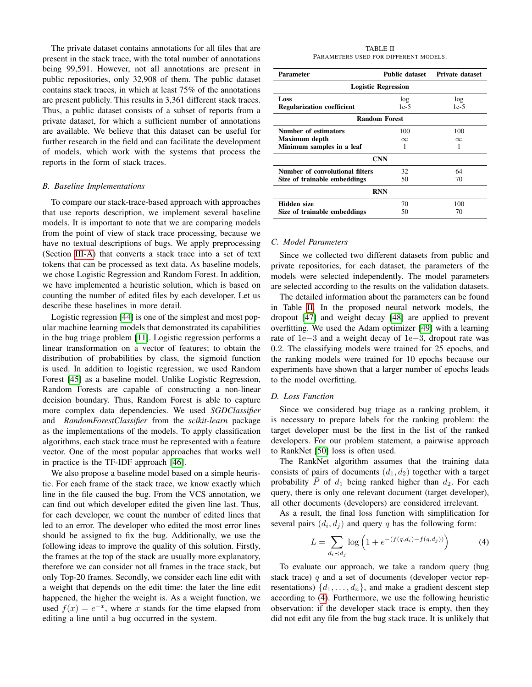The private dataset contains annotations for all files that are present in the stack trace, with the total number of annotations being 99,591. However, not all annotations are present in public repositories, only 32,908 of them. The public dataset contains stack traces, in which at least 75% of the annotations are present publicly. This results in 3,361 different stack traces. Thus, a public dataset consists of a subset of reports from a private dataset, for which a sufficient number of annotations are available. We believe that this dataset can be useful for further research in the field and can facilitate the development of models, which work with the systems that process the reports in the form of stack traces.

## *B. Baseline Implementations*

To compare our stack-trace-based approach with approaches that use reports description, we implement several baseline models. It is important to note that we are comparing models from the point of view of stack trace processing, because we have no textual descriptions of bugs. We apply preprocessing (Section [III-A\)](#page-2-2) that converts a stack trace into a set of text tokens that can be processed as text data. As baseline models, we chose Logistic Regression and Random Forest. In addition, we have implemented a heuristic solution, which is based on counting the number of edited files by each developer. Let us describe these baselines in more detail.

Logistic regression [\[44\]](#page-10-37) is one of the simplest and most popular machine learning models that demonstrated its capabilities in the bug triage problem [\[11\]](#page-10-7). Logistic regression performs a linear transformation on a vector of features; to obtain the distribution of probabilities by class, the sigmoid function is used. In addition to logistic regression, we used Random Forest [\[45\]](#page-10-38) as a baseline model. Unlike Logistic Regression, Random Forests are capable of constructing a non-linear decision boundary. Thus, Random Forest is able to capture more complex data dependencies. We used *SGDClassifier* and *RandomForestClassifier* from the *scikit-learn* package as the implementations of the models. To apply classification algorithms, each stack trace must be represented with a feature vector. One of the most popular approaches that works well in practice is the TF-IDF approach [\[46\]](#page-10-39).

We also propose a baseline model based on a simple heuristic. For each frame of the stack trace, we know exactly which line in the file caused the bug. From the VCS annotation, we can find out which developer edited the given line last. Thus, for each developer, we count the number of edited lines that led to an error. The developer who edited the most error lines should be assigned to fix the bug. Additionally, we use the following ideas to improve the quality of this solution. Firstly, the frames at the top of the stack are usually more explanatory, therefore we can consider not all frames in the trace stack, but only Top-20 frames. Secondly, we consider each line edit with a weight that depends on the edit time: the later the line edit happened, the higher the weight is. As a weight function, we used  $f(x) = e^{-x}$ , where x stands for the time elapsed from editing a line until a bug occurred in the system.

TABLE II PARAMETERS USED FOR DIFFERENT MODELS.

<span id="page-6-0"></span>

| Parameter                         | Public dataset | <b>Private dataset</b> |  |  |  |
|-----------------------------------|----------------|------------------------|--|--|--|
| <b>Logistic Regression</b>        |                |                        |  |  |  |
| Loss                              | log            |                        |  |  |  |
| <b>Regularization coefficient</b> | $1e-5$         | $1e-5$                 |  |  |  |
| <b>Random Forest</b>              |                |                        |  |  |  |
| Number of estimators              | 100            | 100                    |  |  |  |
| Maximum depth                     | $\infty$       | $\infty$               |  |  |  |
| Minimum samples in a leaf         | 1              |                        |  |  |  |
| <b>CNN</b>                        |                |                        |  |  |  |
| Number of convolutional filters   | 32             | 64                     |  |  |  |
| Size of trainable embeddings      | 50             | 70                     |  |  |  |
| <b>RNN</b>                        |                |                        |  |  |  |
| <b>Hidden size</b>                | 70             | 100                    |  |  |  |
| Size of trainable embeddings      | 50             | 70                     |  |  |  |

#### *C. Model Parameters*

Since we collected two different datasets from public and private repositories, for each dataset, the parameters of the models were selected independently. The model parameters are selected according to the results on the validation datasets.

The detailed information about the parameters can be found in Table [II.](#page-6-0) In the proposed neural network models, the dropout [\[47\]](#page-11-0) and weight decay [\[48\]](#page-11-1) are applied to prevent overfitting. We used the Adam optimizer [\[49\]](#page-11-2) with a learning rate of 1e−3 and a weight decay of 1e−3, dropout rate was 0.2. The classifying models were trained for 25 epochs, and the ranking models were trained for 10 epochs because our experiments have shown that a larger number of epochs leads to the model overfitting.

# *D. Loss Function*

Since we considered bug triage as a ranking problem, it is necessary to prepare labels for the ranking problem: the target developer must be the first in the list of the ranked developers. For our problem statement, a pairwise approach to RankNet [\[50\]](#page-11-3) loss is often used.

The RankNet algorithm assumes that the training data consists of pairs of documents  $(d_1, d_2)$  together with a target probability  $\overline{P}$  of  $d_1$  being ranked higher than  $d_2$ . For each query, there is only one relevant document (target developer), all other documents (developers) are considered irrelevant.

As a result, the final loss function with simplification for several pairs  $(d_i, d_j)$  and query q has the following form:

<span id="page-6-1"></span>
$$
L = \sum_{d_i \prec d_j} \log \left( 1 + e^{-(f(q, d_i) - f(q, d_j))} \right) \tag{4}
$$

To evaluate our approach, we take a random query (bug stack trace)  $q$  and a set of documents (developer vector representations)  $\{d_1, \ldots, d_n\}$ , and make a gradient descent step according to [\(4\)](#page-6-1). Furthermore, we use the following heuristic observation: if the developer stack trace is empty, then they did not edit any file from the bug stack trace. It is unlikely that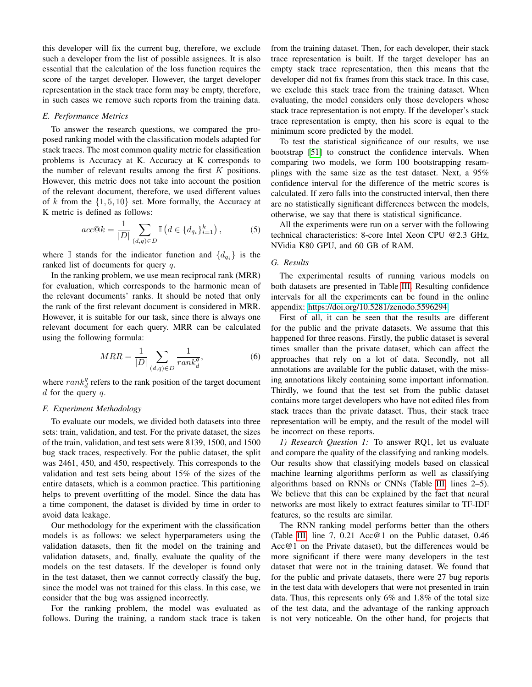this developer will fix the current bug, therefore, we exclude such a developer from the list of possible assignees. It is also essential that the calculation of the loss function requires the score of the target developer. However, the target developer representation in the stack trace form may be empty, therefore, in such cases we remove such reports from the training data.

#### *E. Performance Metrics*

To answer the research questions, we compared the proposed ranking model with the classification models adapted for stack traces. The most common quality metric for classification problems is Accuracy at K. Accuracy at K corresponds to the number of relevant results among the first  $K$  positions. However, this metric does not take into account the position of the relevant document, therefore, we used different values of k from the  $\{1, 5, 10\}$  set. More formally, the Accuracy at K metric is defined as follows:

$$
acc@k = \frac{1}{|D|} \sum_{(d,q)\in D} \mathbb{I}\left(d \in \{d_{q_i}\}_{i=1}^k\right),\tag{5}
$$

where I stands for the indicator function and  $\{d_{q_i}\}\$ is the ranked list of documents for query q.

In the ranking problem, we use mean reciprocal rank (MRR) for evaluation, which corresponds to the harmonic mean of the relevant documents' ranks. It should be noted that only the rank of the first relevant document is considered in MRR. However, it is suitable for our task, since there is always one relevant document for each query. MRR can be calculated using the following formula:

$$
MRR = \frac{1}{|D|} \sum_{(d,q)\in D} \frac{1}{rank_d^q},\tag{6}
$$

where  $rank_d^q$  refers to the rank position of the target document  $d$  for the query  $q$ .

# *F. Experiment Methodology*

To evaluate our models, we divided both datasets into three sets: train, validation, and test. For the private dataset, the sizes of the train, validation, and test sets were 8139, 1500, and 1500 bug stack traces, respectively. For the public dataset, the split was 2461, 450, and 450, respectively. This corresponds to the validation and test sets being about 15% of the sizes of the entire datasets, which is a common practice. This partitioning helps to prevent overfitting of the model. Since the data has a time component, the dataset is divided by time in order to avoid data leakage.

Our methodology for the experiment with the classification models is as follows: we select hyperparameters using the validation datasets, then fit the model on the training and validation datasets, and, finally, evaluate the quality of the models on the test datasets. If the developer is found only in the test dataset, then we cannot correctly classify the bug, since the model was not trained for this class. In this case, we consider that the bug was assigned incorrectly.

For the ranking problem, the model was evaluated as follows. During the training, a random stack trace is taken from the training dataset. Then, for each developer, their stack trace representation is built. If the target developer has an empty stack trace representation, then this means that the developer did not fix frames from this stack trace. In this case, we exclude this stack trace from the training dataset. When evaluating, the model considers only those developers whose stack trace representation is not empty. If the developer's stack trace representation is empty, then his score is equal to the minimum score predicted by the model.

To test the statistical significance of our results, we use bootstrap [\[51\]](#page-11-4) to construct the confidence intervals. When comparing two models, we form 100 bootstrapping resamplings with the same size as the test dataset. Next, a 95% confidence interval for the difference of the metric scores is calculated. If zero falls into the constructed interval, then there are no statistically significant differences between the models, otherwise, we say that there is statistical significance.

All the experiments were run on a server with the following technical characteristics: 8-core Intel Xeon CPU @2.3 GHz, NVidia K80 GPU, and 60 GB of RAM.

# *G. Results*

The experimental results of running various models on both datasets are presented in Table [III.](#page-8-0) Resulting confidence intervals for all the experiments can be found in the online appendix: [https://doi.org/10.5281/zenodo.5596294.](https://doi.org/10.5281/zenodo.5596294)

First of all, it can be seen that the results are different for the public and the private datasets. We assume that this happened for three reasons. Firstly, the public dataset is several times smaller than the private dataset, which can affect the approaches that rely on a lot of data. Secondly, not all annotations are available for the public dataset, with the missing annotations likely containing some important information. Thirdly, we found that the test set from the public dataset contains more target developers who have not edited files from stack traces than the private dataset. Thus, their stack trace representation will be empty, and the result of the model will be incorrect on these reports.

*1) Research Question 1:* To answer RQ1, let us evaluate and compare the quality of the classifying and ranking models. Our results show that classifying models based on classical machine learning algorithms perform as well as classifying algorithms based on RNNs or CNNs (Table [III,](#page-8-0) lines 2–5). We believe that this can be explained by the fact that neural networks are most likely to extract features similar to TF-IDF features, so the results are similar.

The RNN ranking model performs better than the others (Table [III,](#page-8-0) line 7, 0.21 Acc@1 on the Public dataset, 0.46 Acc@1 on the Private dataset), but the differences would be more significant if there were many developers in the test dataset that were not in the training dataset. We found that for the public and private datasets, there were 27 bug reports in the test data with developers that were not presented in train data. Thus, this represents only 6% and 1.8% of the total size of the test data, and the advantage of the ranking approach is not very noticeable. On the other hand, for projects that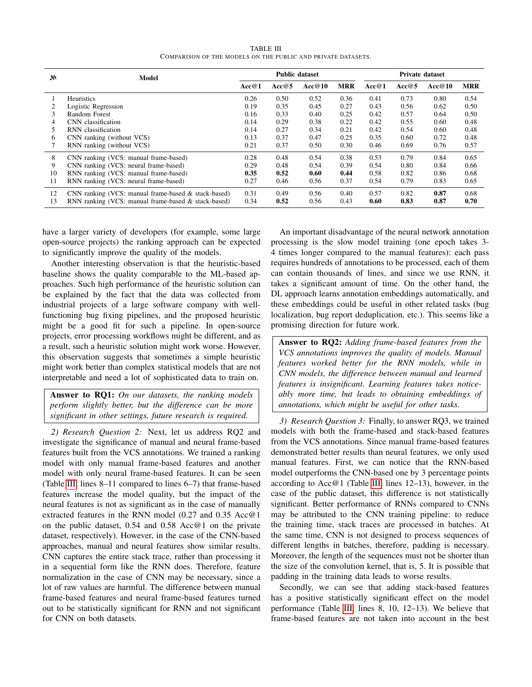TABLE III COMPARISON OF THE MODELS ON THE PUBLIC AND PRIVATE DATASETS.

<span id="page-8-0"></span>

| N. | Model                                                  | <b>Public dataset</b> |       |        | <b>Private dataset</b> |       |       |        |            |
|----|--------------------------------------------------------|-----------------------|-------|--------|------------------------|-------|-------|--------|------------|
|    |                                                        | Acc@1                 | Acc@5 | Acc@10 | <b>MRR</b>             | Acc@1 | Acc@5 | Acc@10 | <b>MRR</b> |
|    | Heuristics                                             | 0.26                  | 0.50  | 0.52   | 0.36                   | 0.41  | 0.73  | 0.80   | 0.54       |
|    | Logistic Regression                                    | 0.19                  | 0.35  | 0.45   | 0.27                   | 0.43  | 0.56  | 0.62   | 0.50       |
| 3  | Random Forest                                          | 0.16                  | 0.33  | 0.40   | 0.25                   | 0.42  | 0.57  | 0.64   | 0.50       |
| 4  | CNN classification                                     | 0.14                  | 0.29  | 0.38   | 0.22                   | 0.42  | 0.55  | 0.60   | 0.48       |
| 5  | RNN classification                                     | 0.14                  | 0.27  | 0.34   | 0.21                   | 0.42  | 0.54  | 0.60   | 0.48       |
| 6  | CNN ranking (without VCS)                              | 0.13                  | 0.37  | 0.47   | 0.25                   | 0.35  | 0.60  | 0.72   | 0.48       |
|    | RNN ranking (without VCS)                              | 0.21                  | 0.37  | 0.50   | 0.30                   | 0.46  | 0.69  | 0.76   | 0.57       |
| 8  | CNN ranking (VCS: manual frame-based)                  | 0.28                  | 0.48  | 0.54   | 0.38                   | 0.53  | 0.79  | 0.84   | 0.65       |
| 9  | CNN ranking (VCS: neural frame-based)                  | 0.29                  | 0.48  | 0.54   | 0.39                   | 0.54  | 0.80  | 0.84   | 0.66       |
| 10 | RNN ranking (VCS: manual frame-based)                  | 0.35                  | 0.52  | 0.60   | 0.44                   | 0.58  | 0.82  | 0.86   | 0.68       |
| 11 | RNN ranking (VCS: neural frame-based)                  | 0.27                  | 0.46  | 0.56   | 0.37                   | 0.54  | 0.79  | 0.83   | 0.65       |
| 12 | CNN ranking (VCS: manual frame-based $\&$ stack-based) | 0.31                  | 0.49  | 0.56   | 0.40                   | 0.57  | 0.82  | 0.87   | 0.68       |
| 13 | RNN ranking (VCS: manual frame-based & stack-based)    | 0.34                  | 0.52  | 0.56   | 0.43                   | 0.60  | 0.83  | 0.87   | 0.70       |

have a larger variety of developers (for example, some large open-source projects) the ranking approach can be expected to significantly improve the quality of the models.

Another interesting observation is that the heuristic-based baseline shows the quality comparable to the ML-based approaches. Such high performance of the heuristic solution can be explained by the fact that the data was collected from industrial projects of a large software company with wellfunctioning bug fixing pipelines, and the proposed heuristic might be a good fit for such a pipeline. In open-source projects, error processing workflows might be different, and as a result, such a heuristic solution might work worse. However, this observation suggests that sometimes a simple heuristic might work better than complex statistical models that are not interpretable and need a lot of sophisticated data to train on.

Answer to RQ1: *On our datasets, the ranking models perform slightly better, but the difference can be more significant in other settings, future research is required.*

*2) Research Question 2:* Next, let us address RQ2 and investigate the significance of manual and neural frame-based features built from the VCS annotations. We trained a ranking model with only manual frame-based features and another model with only neural frame-based features. It can be seen (Table [III,](#page-8-0) lines 8–11 compared to lines 6–7) that frame-based features increase the model quality, but the impact of the neural features is not as significant as in the case of manually extracted features in the RNN model (0.27 and 0.35 Acc@1 on the public dataset, 0.54 and 0.58 Acc@1 on the private dataset, respectively). However, in the case of the CNN-based approaches, manual and neural features show similar results. CNN captures the entire stack trace, rather than processing it in a sequential form like the RNN does. Therefore, feature normalization in the case of CNN may be necessary, since a lot of raw values are harmful. The difference between manual frame-based features and neural frame-based features turned out to be statistically significant for RNN and not significant for CNN on both datasets.

An important disadvantage of the neural network annotation processing is the slow model training (one epoch takes 3- 4 times longer compared to the manual features): each pass requires hundreds of annotations to be processed, each of them can contain thousands of lines, and since we use RNN, it takes a significant amount of time. On the other hand, the DL approach learns annotation embeddings automatically, and these embeddings could be useful in other related tasks (bug localization, bug report deduplication, etc.). This seems like a promising direction for future work.

Answer to RQ2: *Adding frame-based features from the VCS annotations improves the quality of models. Manual features worked better for the RNN models, while in CNN models, the difference between manual and learned features is insignificant. Learning features takes noticeably more time, but leads to obtaining embeddings of annotations, which might be useful for other tasks.*

*3) Research Question 3:* Finally, to answer RQ3, we trained models with both the frame-based and stack-based features from the VCS annotations. Since manual frame-based features demonstrated better results than neural features, we only used manual features. First, we can notice that the RNN-based model outperforms the CNN-based one by 3 percentage points according to Acc@1 (Table [III,](#page-8-0) lines 12–13), however, in the case of the public dataset, this difference is not statistically significant. Better performance of RNNs compared to CNNs may be attributed to the CNN training pipeline: to reduce the training time, stack traces are processed in batches. At the same time, CNN is not designed to process sequences of different lengths in batches, therefore, padding is necessary. Moreover, the length of the sequences must not be shorter than the size of the convolution kernel, that is, 5. It is possible that padding in the training data leads to worse results.

Secondly, we can see that adding stack-based features has a positive statistically significant effect on the model performance (Table [III,](#page-8-0) lines 8, 10, 12–13). We believe that frame-based features are not taken into account in the best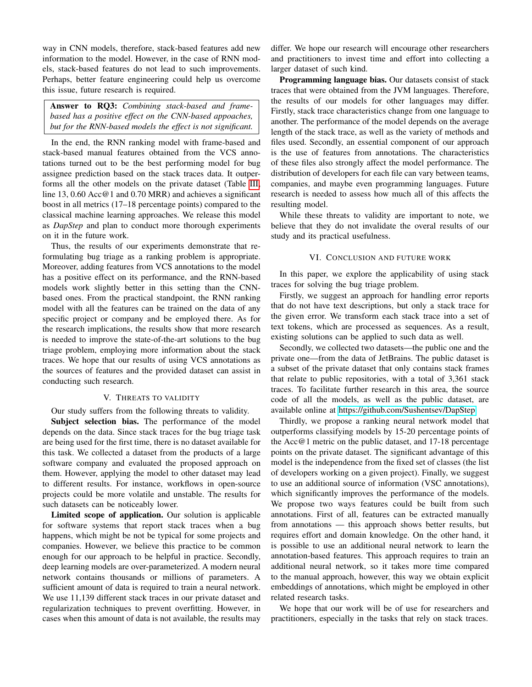way in CNN models, therefore, stack-based features add new information to the model. However, in the case of RNN models, stack-based features do not lead to such improvements. Perhaps, better feature engineering could help us overcome this issue, future research is required.

Answer to RQ3: *Combining stack-based and framebased has a positive effect on the CNN-based appoaches, but for the RNN-based models the effect is not significant.*

In the end, the RNN ranking model with frame-based and stack-based manual features obtained from the VCS annotations turned out to be the best performing model for bug assignee prediction based on the stack traces data. It outperforms all the other models on the private dataset (Table [III,](#page-8-0) line 13, 0.60 Acc@1 and 0.70 MRR) and achieves a significant boost in all metrics (17–18 percentage points) compared to the classical machine learning approaches. We release this model as *DapStep* and plan to conduct more thorough experiments on it in the future work.

Thus, the results of our experiments demonstrate that reformulating bug triage as a ranking problem is appropriate. Moreover, adding features from VCS annotations to the model has a positive effect on its performance, and the RNN-based models work slightly better in this setting than the CNNbased ones. From the practical standpoint, the RNN ranking model with all the features can be trained on the data of any specific project or company and be employed there. As for the research implications, the results show that more research is needed to improve the state-of-the-art solutions to the bug triage problem, employing more information about the stack traces. We hope that our results of using VCS annotations as the sources of features and the provided dataset can assist in conducting such research.

#### V. THREATS TO VALIDITY

<span id="page-9-0"></span>Our study suffers from the following threats to validity.

Subject selection bias. The performance of the model depends on the data. Since stack traces for the bug triage task are being used for the first time, there is no dataset available for this task. We collected a dataset from the products of a large software company and evaluated the proposed approach on them. However, applying the model to other dataset may lead to different results. For instance, workflows in open-source projects could be more volatile and unstable. The results for such datasets can be noticeably lower.

Limited scope of application. Our solution is applicable for software systems that report stack traces when a bug happens, which might be not be typical for some projects and companies. However, we believe this practice to be common enough for our approach to be helpful in practice. Secondly, deep learning models are over-parameterized. A modern neural network contains thousands or millions of parameters. A sufficient amount of data is required to train a neural network. We use 11,139 different stack traces in our private dataset and regularization techniques to prevent overfitting. However, in cases when this amount of data is not available, the results may differ. We hope our research will encourage other researchers and practitioners to invest time and effort into collecting a larger dataset of such kind.

Programming language bias. Our datasets consist of stack traces that were obtained from the JVM languages. Therefore, the results of our models for other languages may differ. Firstly, stack trace characteristics change from one language to another. The performance of the model depends on the average length of the stack trace, as well as the variety of methods and files used. Secondly, an essential component of our approach is the use of features from annotations. The characteristics of these files also strongly affect the model performance. The distribution of developers for each file can vary between teams, companies, and maybe even programming languages. Future research is needed to assess how much all of this affects the resulting model.

While these threats to validity are important to note, we believe that they do not invalidate the overal results of our study and its practical usefulness.

## VI. CONCLUSION AND FUTURE WORK

<span id="page-9-1"></span>In this paper, we explore the applicability of using stack traces for solving the bug triage problem.

Firstly, we suggest an approach for handling error reports that do not have text descriptions, but only a stack trace for the given error. We transform each stack trace into a set of text tokens, which are processed as sequences. As a result, existing solutions can be applied to such data as well.

Secondly, we collected two datasets—the public one and the private one—from the data of JetBrains. The public dataset is a subset of the private dataset that only contains stack frames that relate to public repositories, with a total of 3,361 stack traces. To facilitate further research in this area, the source code of all the models, as well as the public dataset, are available online at [https://github.com/Sushentsev/DapStep.](https://github.com/Sushentsev/DapStep)

Thirdly, we propose a ranking neural network model that outperforms classifying models by 15-20 percentage points of the Acc@1 metric on the public dataset, and 17-18 percentage points on the private dataset. The significant advantage of this model is the independence from the fixed set of classes (the list of developers working on a given project). Finally, we suggest to use an additional source of information (VSC annotations), which significantly improves the performance of the models. We propose two ways features could be built from such annotations. First of all, features can be extracted manually from annotations — this approach shows better results, but requires effort and domain knowledge. On the other hand, it is possible to use an additional neural network to learn the annotation-based features. This approach requires to train an additional neural network, so it takes more time compared to the manual approach, however, this way we obtain explicit embeddings of annotations, which might be employed in other related research tasks.

We hope that our work will be of use for researchers and practitioners, especially in the tasks that rely on stack traces.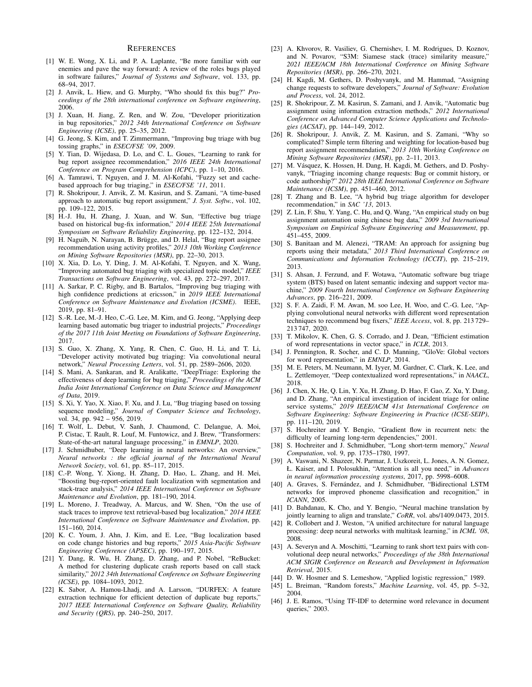#### **REFERENCES**

- <span id="page-10-0"></span>[1] W. E. Wong, X. Li, and P. A. Laplante, "Be more familiar with our enemies and pave the way forward: A review of the roles bugs played in software failures," *Journal of Systems and Software*, vol. 133, pp. 68–94, 2017.
- <span id="page-10-1"></span>[2] J. Anvik, L. Hiew, and G. Murphy, "Who should fix this bug?" *Proceedings of the 28th international conference on Software engineering*, 2006.
- <span id="page-10-2"></span>[3] J. Xuan, H. Jiang, Z. Ren, and W. Zou, "Developer prioritization in bug repositories," *2012 34th International Conference on Software Engineering (ICSE)*, pp. 25–35, 2012.
- <span id="page-10-3"></span>[4] G. Jeong, S. Kim, and T. Zimmermann, "Improving bug triage with bug tossing graphs," in *ESEC/FSE '09*, 2009.
- <span id="page-10-4"></span>[5] Y. Tian, D. Wijedasa, D. Lo, and C. L. Goues, "Learning to rank for bug report assignee recommendation," *2016 IEEE 24th International Conference on Program Comprehension (ICPC)*, pp. 1–10, 2016.
- [6] A. Tamrawi, T. Nguyen, and J. M. Al-Kofahi, "Fuzzy set and cachebased approach for bug triaging," in *ESEC/FSE '11*, 2011.
- [7] R. Shokripour, J. Anvik, Z. M. Kasirun, and S. Zamani, "A time-based approach to automatic bug report assignment," *J. Syst. Softw.*, vol. 102, pp.  $109-122$ ,  $2015$ .
- <span id="page-10-5"></span>[8] H.-J. Hu, H. Zhang, J. Xuan, and W. Sun, "Effective bug triage based on historical bug-fix information," *2014 IEEE 25th International Symposium on Software Reliability Engineering*, pp. 122–132, 2014.
- <span id="page-10-6"></span>[9] H. Naguib, N. Narayan, B. Brügge, and D. Helal, "Bug report assignee recommendation using activity profiles," *2013 10th Working Conference on Mining Software Repositories (MSR)*, pp. 22–30, 2013.
- [10] X. Xia, D. Lo, Y. Ding, J. M. Al-Kofahi, T. Nguyen, and X. Wang, "Improving automated bug triaging with specialized topic model," *IEEE Transactions on Software Engineering*, vol. 43, pp. 272–297, 2017.
- <span id="page-10-7"></span>[11] A. Sarkar, P. C. Rigby, and B. Bartalos, "Improving bug triaging with high confidence predictions at ericsson," in *2019 IEEE International Conference on Software Maintenance and Evolution (ICSME)*. IEEE, 2019, pp. 81–91.
- <span id="page-10-8"></span>[12] S.-R. Lee, M.-J. Heo, C.-G. Lee, M. Kim, and G. Jeong, "Applying deep learning based automatic bug triager to industrial projects," *Proceedings of the 2017 11th Joint Meeting on Foundations of Software Engineering*, 2017.
- <span id="page-10-10"></span>[13] S. Guo, X. Zhang, X. Yang, R. Chen, C. Guo, H. Li, and T. Li, "Developer activity motivated bug triaging: Via convolutional neural network," *Neural Processing Letters*, vol. 51, pp. 2589–2606, 2020.
- <span id="page-10-11"></span>[14] S. Mani, A. Sankaran, and R. Aralikatte, "DeepTriage: Exploring the effectiveness of deep learning for bug triaging," *Proceedings of the ACM India Joint International Conference on Data Science and Management of Data*, 2019.
- <span id="page-10-9"></span>[15] S. Xi, Y. Yao, X. Xiao, F. Xu, and J. Lu, "Bug triaging based on tossing sequence modeling," *Journal of Computer Science and Technology*, vol. 34, pp. 942 – 956, 2019.
- <span id="page-10-12"></span>[16] T. Wolf, L. Debut, V. Sanh, J. Chaumond, C. Delangue, A. Moi, P. Cistac, T. Rault, R. Louf, M. Funtowicz, and J. Brew, "Transformers: State-of-the-art natural language processing," in *EMNLP*, 2020.
- <span id="page-10-13"></span>[17] J. Schmidhuber, "Deep learning in neural networks: An overview," *Neural networks : the official journal of the International Neural Network Society*, vol. 61, pp. 85–117, 2015.
- <span id="page-10-14"></span>[18] C.-P. Wong, Y. Xiong, H. Zhang, D. Hao, L. Zhang, and H. Mei, "Boosting bug-report-oriented fault localization with segmentation and stack-trace analysis," *2014 IEEE International Conference on Software Maintenance and Evolution*, pp. 181–190, 2014.
- [19] L. Moreno, J. Treadway, A. Marcus, and W. Shen, "On the use of stack traces to improve text retrieval-based bug localization," *2014 IEEE International Conference on Software Maintenance and Evolution*, pp. 151–160, 2014.
- <span id="page-10-15"></span>[20] K. C. Youm, J. Ahn, J. Kim, and E. Lee, "Bug localization based on code change histories and bug reports," *2015 Asia-Pacific Software Engineering Conference (APSEC)*, pp. 190–197, 2015.
- <span id="page-10-16"></span>[21] Y. Dang, R. Wu, H. Zhang, D. Zhang, and P. Nobel, "ReBucket: A method for clustering duplicate crash reports based on call stack similarity," *2012 34th International Conference on Software Engineering (ICSE)*, pp. 1084–1093, 2012.
- [22] K. Sabor, A. Hamou-Lhadj, and A. Larsson, "DURFEX: A feature extraction technique for efficient detection of duplicate bug reports," *2017 IEEE International Conference on Software Quality, Reliability and Security (QRS)*, pp. 240–250, 2017.
- <span id="page-10-17"></span>[23] A. Khvorov, R. Vasiliev, G. Chernishev, I. M. Rodrigues, D. Koznov, and N. Povarov, "S3M: Siamese stack (trace) similarity measure," *2021 IEEE/ACM 18th International Conference on Mining Software Repositories (MSR)*, pp. 266–270, 2021.
- <span id="page-10-18"></span>[24] H. Kagdi, M. Gethers, D. Poshyvanyk, and M. Hammad, "Assigning change requests to software developers," *Journal of Software: Evolution and Process*, vol. 24, 2012.
- <span id="page-10-19"></span>[25] R. Shokripour, Z. M. Kasirun, S. Zamani, and J. Anvik, "Automatic bug assignment using information extraction methods," *2012 International Conference on Advanced Computer Science Applications and Technologies (ACSAT)*, pp. 144–149, 2012.
- <span id="page-10-20"></span>[26] R. Shokripour, J. Anvik, Z. M. Kasirun, and S. Zamani, "Why so complicated? Simple term filtering and weighting for location-based bug report assignment recommendation," *2013 10th Working Conference on Mining Software Repositories (MSR)*, pp. 2–11, 2013.
- <span id="page-10-21"></span>[27] M. Vásquez, K. Hossen, H. Dang, H. Kagdi, M. Gethers, and D. Poshyvanyk, "Triaging incoming change requests: Bug or commit history, or code authorship?" *2012 28th IEEE International Conference on Software Maintenance (ICSM)*, pp. 451–460, 2012.
- <span id="page-10-22"></span>[28] T. Zhang and B. Lee, "A hybrid bug triage algorithm for developer recommendation," in *SAC '13*, 2013.
- <span id="page-10-23"></span>[29] Z. Lin, F. Shu, Y. Yang, C. Hu, and Q. Wang, "An empirical study on bug assignment automation using chinese bug data," *2009 3rd International Symposium on Empirical Software Engineering and Measurement*, pp. 451–455, 2009.
- [30] S. Banitaan and M. Alenezi, "TRAM: An approach for assigning bug reports using their metadata," *2013 Third International Conference on Communications and Information Technology (ICCIT)*, pp. 215–219, 2013.
- <span id="page-10-24"></span>[31] S. Ahsan, J. Ferzund, and F. Wotawa, "Automatic software bug triage system (BTS) based on latent semantic indexing and support vector machine," *2009 Fourth International Conference on Software Engineering Advances*, pp. 216–221, 2009.
- <span id="page-10-25"></span>[32] S. F. A. Zaidi, F. M. Awan, M. soo Lee, H. Woo, and C.-G. Lee, "Applying convolutional neural networks with different word representation techniques to recommend bug fixers," *IEEE Access*, vol. 8, pp. 213 729– 213 747, 2020.
- <span id="page-10-26"></span>[33] T. Mikolov, K. Chen, G. S. Corrado, and J. Dean, "Efficient estimation of word representations in vector space," in *ICLR*, 2013.
- <span id="page-10-27"></span>[34] J. Pennington, R. Socher, and C. D. Manning, "GloVe: Global vectors for word representation," in *EMNLP*, 2014.
- <span id="page-10-28"></span>[35] M. E. Peters, M. Neumann, M. Iyyer, M. Gardner, C. Clark, K. Lee, and L. Zettlemoyer, "Deep contextualized word representations," in *NAACL*, 2018.
- <span id="page-10-29"></span>[36] J. Chen, X. He, Q. Lin, Y. Xu, H. Zhang, D. Hao, F. Gao, Z. Xu, Y. Dang, and D. Zhang, "An empirical investigation of incident triage for online service systems," *2019 IEEE/ACM 41st International Conference on Software Engineering: Software Engineering in Practice (ICSE-SEIP)*, pp. 111–120, 2019.
- <span id="page-10-30"></span>[37] S. Hochreiter and Y. Bengio, "Gradient flow in recurrent nets: the difficulty of learning long-term dependencies," 2001.
- <span id="page-10-31"></span>[38] S. Hochreiter and J. Schmidhuber, "Long short-term memory," *Neural Computation*, vol. 9, pp. 1735–1780, 1997.
- <span id="page-10-32"></span>[39] A. Vaswani, N. Shazeer, N. Parmar, J. Uszkoreit, L. Jones, A. N. Gomez, Ł. Kaiser, and I. Polosukhin, "Attention is all you need," in *Advances in neural information processing systems*, 2017, pp. 5998–6008.
- <span id="page-10-33"></span>[40] A. Graves, S. Fernández, and J. Schmidhuber, "Bidirectional LSTM networks for improved phoneme classification and recognition," in *ICANN*, 2005.
- <span id="page-10-34"></span>[41] D. Bahdanau, K. Cho, and Y. Bengio, "Neural machine translation by jointly learning to align and translate," *CoRR*, vol. abs/1409.0473, 2015.
- <span id="page-10-35"></span>[42] R. Collobert and J. Weston, "A unified architecture for natural language processing: deep neural networks with multitask learning," in *ICML '08*, 2008.
- <span id="page-10-36"></span>[43] A. Severyn and A. Moschitti, "Learning to rank short text pairs with convolutional deep neural networks," *Proceedings of the 38th International ACM SIGIR Conference on Research and Development in Information Retrieval*, 2015.
- <span id="page-10-37"></span>[44] D. W. Hosmer and S. Lemeshow, "Applied logistic regression," 1989.
- <span id="page-10-38"></span>[45] L. Breiman, "Random forests," *Machine Learning*, vol. 45, pp. 5–32, 2004.
- <span id="page-10-39"></span>[46] J. E. Ramos, "Using TF-IDF to determine word relevance in document queries," 2003.